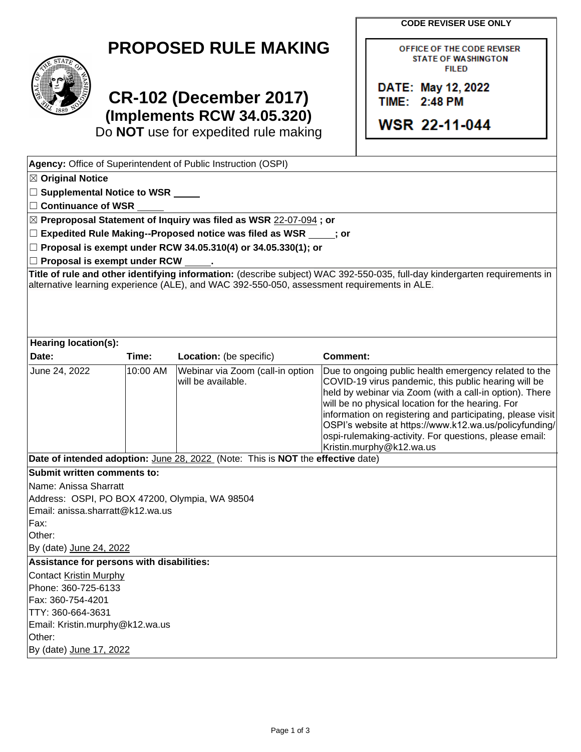**CODE REVISER USE ONLY**

OFFICE OF THE CODE REVISER **STATE OF WASHINGTON FILED** 

DATE: May 12, 2022 **TIME: 2:48 PM** 

**WSR 22-11-044** 

## **PROPOSED RULE MAKING**



## **CR-102 (December 2017) (Implements RCW 34.05.320)**

Do **NOT** use for expedited rule making

| Agency: Office of Superintendent of Public Instruction (OSPI)                                                                                                                                                             |          |                                                        |                                                                                                                                                                                                                                                                                                                                                                                                                                             |  |  |  |  |
|---------------------------------------------------------------------------------------------------------------------------------------------------------------------------------------------------------------------------|----------|--------------------------------------------------------|---------------------------------------------------------------------------------------------------------------------------------------------------------------------------------------------------------------------------------------------------------------------------------------------------------------------------------------------------------------------------------------------------------------------------------------------|--|--|--|--|
| $\boxtimes$ Original Notice                                                                                                                                                                                               |          |                                                        |                                                                                                                                                                                                                                                                                                                                                                                                                                             |  |  |  |  |
| □ Supplemental Notice to WSR _____                                                                                                                                                                                        |          |                                                        |                                                                                                                                                                                                                                                                                                                                                                                                                                             |  |  |  |  |
| $\Box$ Continuance of WSR                                                                                                                                                                                                 |          |                                                        |                                                                                                                                                                                                                                                                                                                                                                                                                                             |  |  |  |  |
| ⊠ Preproposal Statement of Inquiry was filed as WSR 22-07-094; or                                                                                                                                                         |          |                                                        |                                                                                                                                                                                                                                                                                                                                                                                                                                             |  |  |  |  |
| $\Box$ Expedited Rule Making--Proposed notice was filed as WSR $\rule{1em}{0.15mm}$ j or                                                                                                                                  |          |                                                        |                                                                                                                                                                                                                                                                                                                                                                                                                                             |  |  |  |  |
| $\Box$ Proposal is exempt under RCW 34.05.310(4) or 34.05.330(1); or                                                                                                                                                      |          |                                                        |                                                                                                                                                                                                                                                                                                                                                                                                                                             |  |  |  |  |
| □ Proposal is exempt under RCW ______.                                                                                                                                                                                    |          |                                                        |                                                                                                                                                                                                                                                                                                                                                                                                                                             |  |  |  |  |
| Title of rule and other identifying information: (describe subject) WAC 392-550-035, full-day kindergarten requirements in<br>alternative learning experience (ALE), and WAC 392-550-050, assessment requirements in ALE. |          |                                                        |                                                                                                                                                                                                                                                                                                                                                                                                                                             |  |  |  |  |
| Hearing location(s):                                                                                                                                                                                                      |          |                                                        |                                                                                                                                                                                                                                                                                                                                                                                                                                             |  |  |  |  |
| Date:                                                                                                                                                                                                                     | Time:    | Location: (be specific)                                | <b>Comment:</b>                                                                                                                                                                                                                                                                                                                                                                                                                             |  |  |  |  |
| June 24, 2022                                                                                                                                                                                                             | 10:00 AM | Webinar via Zoom (call-in option<br>will be available. | Due to ongoing public health emergency related to the<br>COVID-19 virus pandemic, this public hearing will be<br>held by webinar via Zoom (with a call-in option). There<br>will be no physical location for the hearing. For<br>information on registering and participating, please visit<br>OSPI's website at https://www.k12.wa.us/policyfunding/<br>ospi-rulemaking-activity. For questions, please email:<br>Kristin.murphy@k12.wa.us |  |  |  |  |
| Date of intended adoption: June 28, 2022 (Note: This is NOT the effective date)                                                                                                                                           |          |                                                        |                                                                                                                                                                                                                                                                                                                                                                                                                                             |  |  |  |  |
| Submit written comments to:                                                                                                                                                                                               |          |                                                        |                                                                                                                                                                                                                                                                                                                                                                                                                                             |  |  |  |  |
| Name: Anissa Sharratt                                                                                                                                                                                                     |          |                                                        |                                                                                                                                                                                                                                                                                                                                                                                                                                             |  |  |  |  |
| Address: OSPI, PO BOX 47200, Olympia, WA 98504                                                                                                                                                                            |          |                                                        |                                                                                                                                                                                                                                                                                                                                                                                                                                             |  |  |  |  |
| Email: anissa.sharratt@k12.wa.us                                                                                                                                                                                          |          |                                                        |                                                                                                                                                                                                                                                                                                                                                                                                                                             |  |  |  |  |
| Fax:                                                                                                                                                                                                                      |          |                                                        |                                                                                                                                                                                                                                                                                                                                                                                                                                             |  |  |  |  |
| Other:                                                                                                                                                                                                                    |          |                                                        |                                                                                                                                                                                                                                                                                                                                                                                                                                             |  |  |  |  |
| By (date) June 24, 2022                                                                                                                                                                                                   |          |                                                        |                                                                                                                                                                                                                                                                                                                                                                                                                                             |  |  |  |  |
| Assistance for persons with disabilities:                                                                                                                                                                                 |          |                                                        |                                                                                                                                                                                                                                                                                                                                                                                                                                             |  |  |  |  |
| Contact Kristin Murphy<br>Phone: 360-725-6133                                                                                                                                                                             |          |                                                        |                                                                                                                                                                                                                                                                                                                                                                                                                                             |  |  |  |  |
| Fax: 360-754-4201                                                                                                                                                                                                         |          |                                                        |                                                                                                                                                                                                                                                                                                                                                                                                                                             |  |  |  |  |
| TTY: 360-664-3631                                                                                                                                                                                                         |          |                                                        |                                                                                                                                                                                                                                                                                                                                                                                                                                             |  |  |  |  |
| Email: Kristin.murphy@k12.wa.us                                                                                                                                                                                           |          |                                                        |                                                                                                                                                                                                                                                                                                                                                                                                                                             |  |  |  |  |
| Other:                                                                                                                                                                                                                    |          |                                                        |                                                                                                                                                                                                                                                                                                                                                                                                                                             |  |  |  |  |
| By (date) June 17, 2022                                                                                                                                                                                                   |          |                                                        |                                                                                                                                                                                                                                                                                                                                                                                                                                             |  |  |  |  |
|                                                                                                                                                                                                                           |          |                                                        |                                                                                                                                                                                                                                                                                                                                                                                                                                             |  |  |  |  |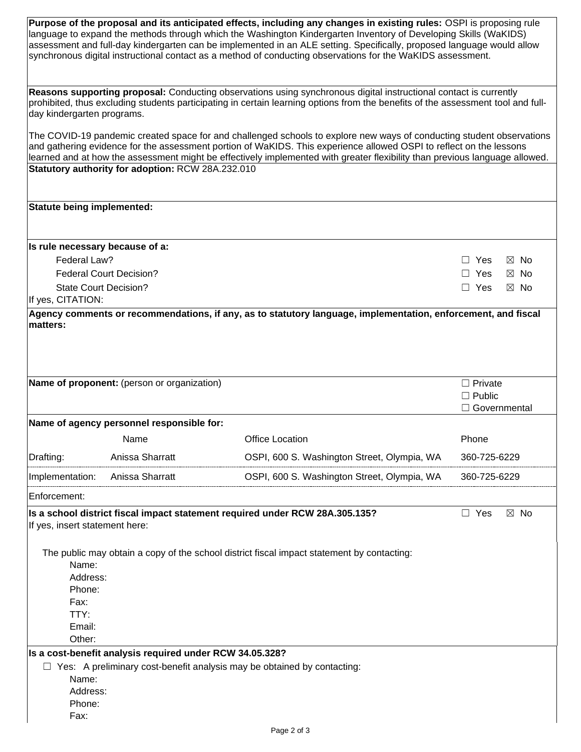| Purpose of the proposal and its anticipated effects, including any changes in existing rules: OSPI is proposing rule<br>language to expand the methods through which the Washington Kindergarten Inventory of Developing Skills (WaKIDS)<br>assessment and full-day kindergarten can be implemented in an ALE setting. Specifically, proposed language would allow<br>synchronous digital instructional contact as a method of conducting observations for the WaKIDS assessment. |                                             |                                                                                                                     |                                 |  |  |  |  |
|-----------------------------------------------------------------------------------------------------------------------------------------------------------------------------------------------------------------------------------------------------------------------------------------------------------------------------------------------------------------------------------------------------------------------------------------------------------------------------------|---------------------------------------------|---------------------------------------------------------------------------------------------------------------------|---------------------------------|--|--|--|--|
| Reasons supporting proposal: Conducting observations using synchronous digital instructional contact is currently<br>prohibited, thus excluding students participating in certain learning options from the benefits of the assessment tool and full-<br>day kindergarten programs.<br>The COVID-19 pandemic created space for and challenged schools to explore new ways of conducting student observations                                                                      |                                             |                                                                                                                     |                                 |  |  |  |  |
|                                                                                                                                                                                                                                                                                                                                                                                                                                                                                   |                                             | and gathering evidence for the assessment portion of WaKIDS. This experience allowed OSPI to reflect on the lessons |                                 |  |  |  |  |
| learned and at how the assessment might be effectively implemented with greater flexibility than previous language allowed.<br>Statutory authority for adoption: RCW 28A.232.010                                                                                                                                                                                                                                                                                                  |                                             |                                                                                                                     |                                 |  |  |  |  |
| <b>Statute being implemented:</b>                                                                                                                                                                                                                                                                                                                                                                                                                                                 |                                             |                                                                                                                     |                                 |  |  |  |  |
| Is rule necessary because of a:                                                                                                                                                                                                                                                                                                                                                                                                                                                   |                                             |                                                                                                                     |                                 |  |  |  |  |
| Federal Law?                                                                                                                                                                                                                                                                                                                                                                                                                                                                      |                                             |                                                                                                                     | $\Box$ Yes<br>$\boxtimes$ No    |  |  |  |  |
|                                                                                                                                                                                                                                                                                                                                                                                                                                                                                   | <b>Federal Court Decision?</b>              |                                                                                                                     | $\Box$ Yes<br>$\boxtimes$ No    |  |  |  |  |
| <b>State Court Decision?</b>                                                                                                                                                                                                                                                                                                                                                                                                                                                      |                                             |                                                                                                                     | $\Box$ Yes<br>$\boxtimes$ No    |  |  |  |  |
| If yes, CITATION:                                                                                                                                                                                                                                                                                                                                                                                                                                                                 |                                             |                                                                                                                     |                                 |  |  |  |  |
| matters:                                                                                                                                                                                                                                                                                                                                                                                                                                                                          | Name of proponent: (person or organization) |                                                                                                                     | $\Box$ Private                  |  |  |  |  |
|                                                                                                                                                                                                                                                                                                                                                                                                                                                                                   |                                             |                                                                                                                     | $\Box$ Public<br>□ Governmental |  |  |  |  |
|                                                                                                                                                                                                                                                                                                                                                                                                                                                                                   | Name of agency personnel responsible for:   |                                                                                                                     |                                 |  |  |  |  |
|                                                                                                                                                                                                                                                                                                                                                                                                                                                                                   | Name                                        | <b>Office Location</b>                                                                                              | Phone                           |  |  |  |  |
| Drafting:                                                                                                                                                                                                                                                                                                                                                                                                                                                                         | Anissa Sharratt                             | OSPI, 600 S. Washington Street, Olympia, WA                                                                         | 360-725-6229                    |  |  |  |  |
| Implementation:                                                                                                                                                                                                                                                                                                                                                                                                                                                                   | Anissa Sharratt                             | OSPI, 600 S. Washington Street, Olympia, WA                                                                         | 360-725-6229                    |  |  |  |  |
| Enforcement:                                                                                                                                                                                                                                                                                                                                                                                                                                                                      |                                             |                                                                                                                     |                                 |  |  |  |  |
| Is a school district fiscal impact statement required under RCW 28A.305.135?<br>$\Box$ Yes<br>$\boxtimes$ No<br>If yes, insert statement here:                                                                                                                                                                                                                                                                                                                                    |                                             |                                                                                                                     |                                 |  |  |  |  |
| Name:<br>Address:<br>Phone:<br>Fax:<br>TTY:<br>Email:<br>Other:                                                                                                                                                                                                                                                                                                                                                                                                                   |                                             | The public may obtain a copy of the school district fiscal impact statement by contacting:                          |                                 |  |  |  |  |
| Is a cost-benefit analysis required under RCW 34.05.328?                                                                                                                                                                                                                                                                                                                                                                                                                          |                                             |                                                                                                                     |                                 |  |  |  |  |
| Name:<br>Address:<br>Phone:<br>Fax:                                                                                                                                                                                                                                                                                                                                                                                                                                               |                                             | $\Box$ Yes: A preliminary cost-benefit analysis may be obtained by contacting:                                      |                                 |  |  |  |  |